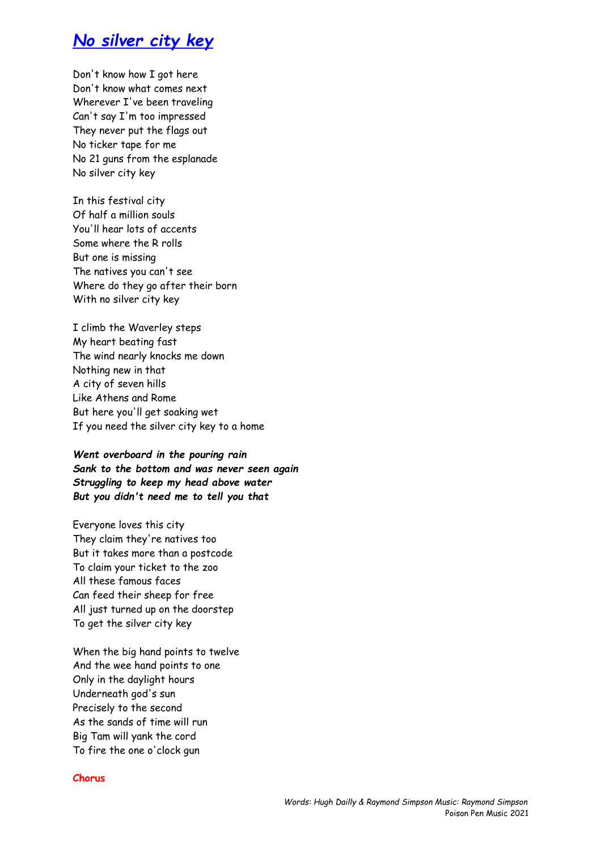## *No silver city key*

Don't know how I got here Don't know what comes next Wherever I've been traveling Can't say I'm too impressed They never put the flags out No ticker tape for me No 21 guns from the esplanade No silver city key

In this festival city Of half a million souls You'll hear lots of accents Some where the R rolls But one is missing The natives you can't see Where do they go after their born With no silver city key

I climb the Waverley steps My heart beating fast The wind nearly knocks me down Nothing new in that A city of seven hills Like Athens and Rome But here you'll get soaking wet If you need the silver city key to a home

*Went overboard in the pouring rain Sank to the bottom and was never seen again Struggling to keep my head above water But you didn't need me to tell you that*

Everyone loves this city They claim they're natives too But it takes more than a postcode To claim your ticket to the zoo All these famous faces Can feed their sheep for free All just turned up on the doorstep To get the silver city key

When the big hand points to twelve And the wee hand points to one Only in the daylight hours Underneath god's sun Precisely to the second As the sands of time will run Big Tam will yank the cord To fire the one o'clock gun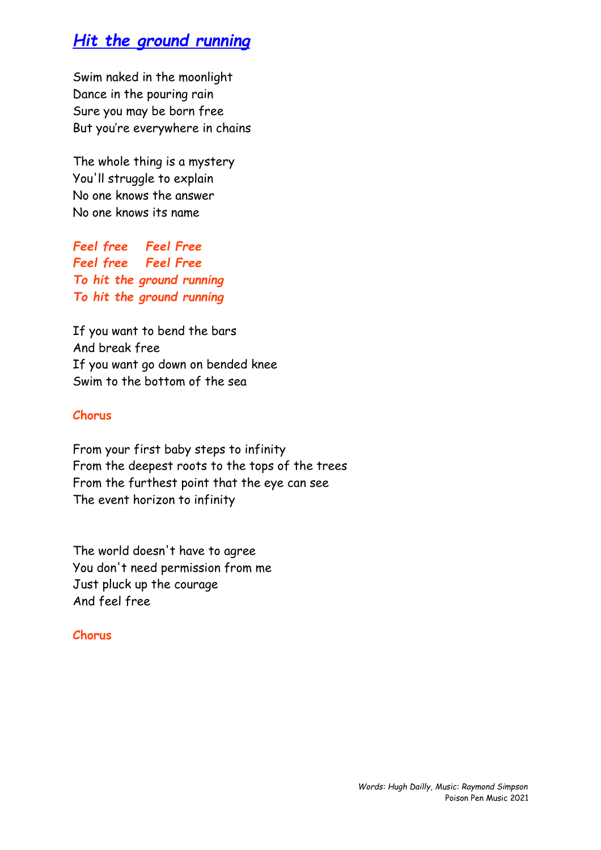# *Hit the ground running*

Swim naked in the moonlight Dance in the pouring rain Sure you may be born free But you're everywhere in chains

The whole thing is a mystery You'll struggle to explain No one knows the answer No one knows its name

*Feel free Feel Free Feel free Feel Free To hit the ground running To hit the ground running*

If you want to bend the bars And break free If you want go down on bended knee Swim to the bottom of the sea

### **Chorus**

From your first baby steps to infinity From the deepest roots to the tops of the trees From the furthest point that the eye can see The event horizon to infinity

The world doesn't have to agree You don't need permission from me Just pluck up the courage And feel free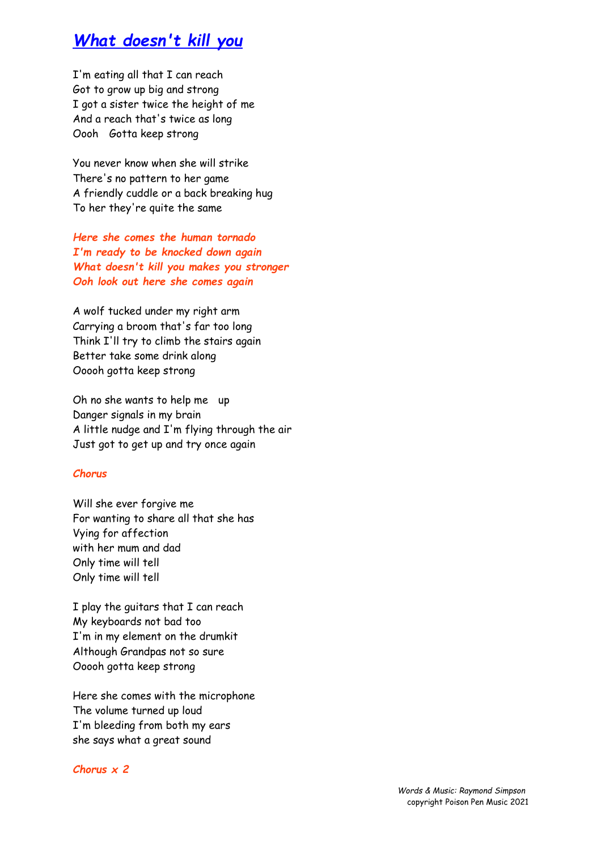## *What doesn't kill you*

I'm eating all that I can reach Got to grow up big and strong I got a sister twice the height of me And a reach that's twice as long Oooh Gotta keep strong

You never know when she will strike There's no pattern to her game A friendly cuddle or a back breaking hug To her they're quite the same

*Here she comes the human tornado I'm ready to be knocked down again What doesn't kill you makes you stronger Ooh look out here she comes again*

A wolf tucked under my right arm Carrying a broom that's far too long Think I'll try to climb the stairs again Better take some drink along Ooooh gotta keep strong

Oh no she wants to help me up Danger signals in my brain A little nudge and I'm flying through the air Just got to get up and try once again

#### *Chorus*

Will she ever forgive me For wanting to share all that she has Vying for affection with her mum and dad Only time will tell Only time will tell

I play the guitars that I can reach My keyboards not bad too I'm in my element on the drumkit Although Grandpas not so sure Ooooh gotta keep strong

Here she comes with the microphone The volume turned up loud I'm bleeding from both my ears she says what a great sound

#### *Chorus x 2*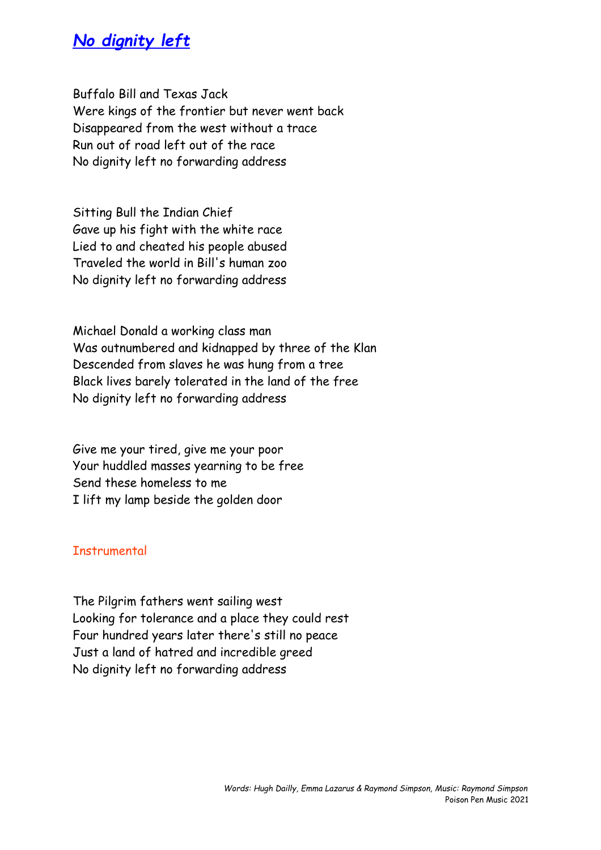## *No dignity left*

Buffalo Bill and Texas Jack Were kings of the frontier but never went back Disappeared from the west without a trace Run out of road left out of the race No dignity left no forwarding address

Sitting Bull the Indian Chief Gave up his fight with the white race Lied to and cheated his people abused Traveled the world in Bill's human zoo No dignity left no forwarding address

Michael Donald a working class man Was outnumbered and kidnapped by three of the Klan Descended from slaves he was hung from a tree Black lives barely tolerated in the land of the free No dignity left no forwarding address

Give me your tired, give me your poor Your huddled masses yearning to be free Send these homeless to me I lift my lamp beside the golden door

### **Instrumental**

The Pilgrim fathers went sailing west Looking for tolerance and a place they could rest Four hundred years later there's still no peace Just a land of hatred and incredible greed No dignity left no forwarding address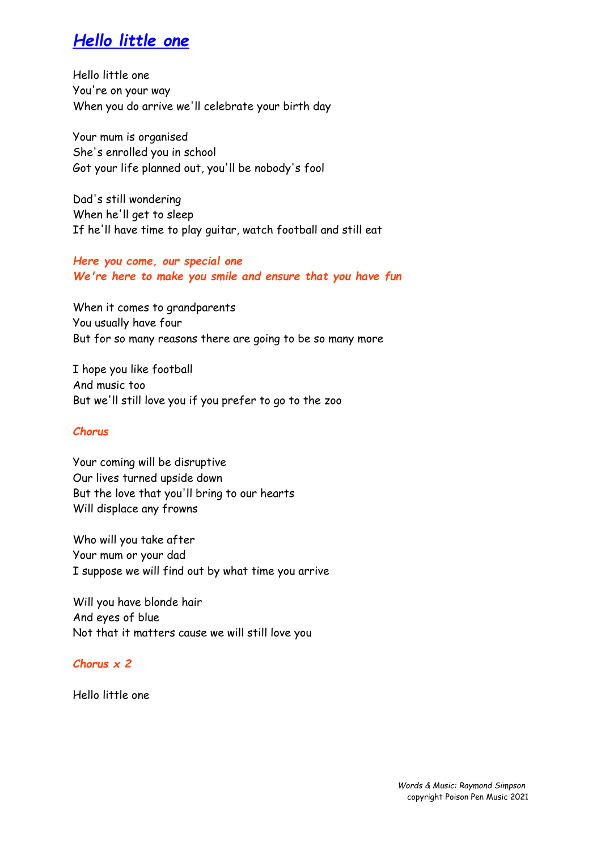# *Hello little one*

Hello little one You're on your way When you do arrive we'll celebrate your birth day

Your mum is organised She's enrolled you in school Got your life planned out, you'll be nobody's fool

Dad's still wondering When he'll get to sleep If he'll have time to play guitar, watch football and still eat

*Here you come, our special one We're here to make you smile and ensure that you have fun*

When it comes to grandparents You usually have four But for so many reasons there are going to be so many more

I hope you like football And music too But we'll still love you if you prefer to go to the zoo

### *Chorus*

Your coming will be disruptive Our lives turned upside down But the love that you'll bring to our hearts Will displace any frowns

Who will you take after Your mum or your dad I suppose we will find out by what time you arrive

Will you have blonde hair And eyes of blue Not that it matters cause we will still love you

*Chorus x 2*

Hello little one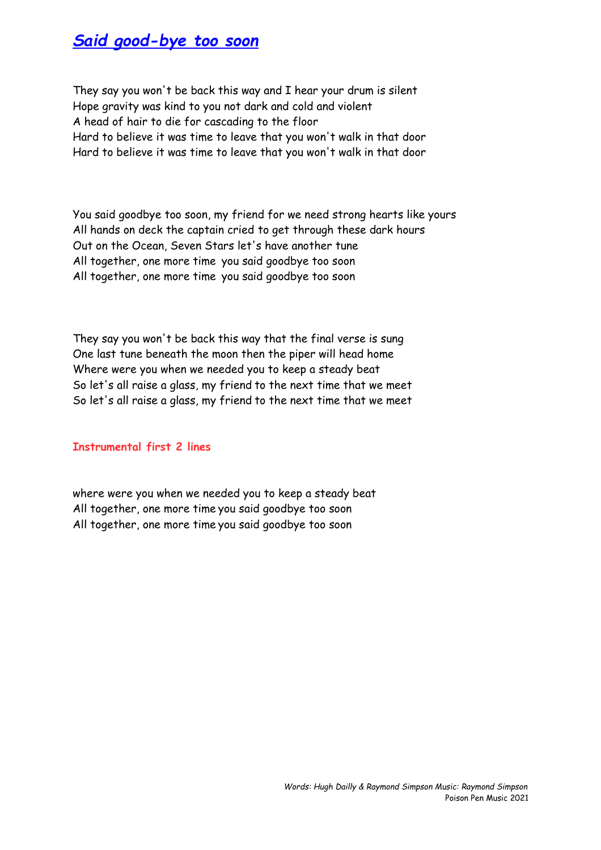## *Said good-bye too soon*

They say you won't be back this way and I hear your drum is silent Hope gravity was kind to you not dark and cold and violent A head of hair to die for cascading to the floor Hard to believe it was time to leave that you won't walk in that door Hard to believe it was time to leave that you won't walk in that door

You said goodbye too soon, my friend for we need strong hearts like yours All hands on deck the captain cried to get through these dark hours Out on the Ocean, Seven Stars let's have another tune All together, one more time you said goodbye too soon All together, one more time you said goodbye too soon

They say you won't be back this way that the final verse is sung One last tune beneath the moon then the piper will head home Where were you when we needed you to keep a steady beat So let's all raise a glass, my friend to the next time that we meet So let's all raise a glass, my friend to the next time that we meet

### **Instrumental first 2 lines**

where were you when we needed you to keep a steady beat All together, one more time you said goodbye too soon All together, one more time you said goodbye too soon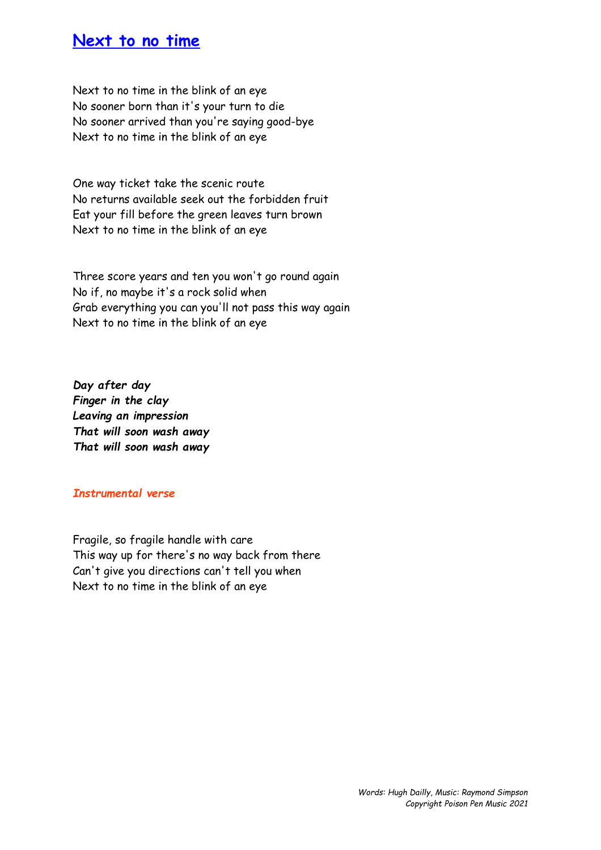## **Next to no time**

Next to no time in the blink of an eye No sooner born than it's your turn to die No sooner arrived than you're saying good-bye Next to no time in the blink of an eye

One way ticket take the scenic route No returns available seek out the forbidden fruit Eat your fill before the green leaves turn brown Next to no time in the blink of an eye

Three score years and ten you won't go round again No if, no maybe it's a rock solid when Grab everything you can you'll not pass this way again Next to no time in the blink of an eye

*Day after day Finger in the clay Leaving an impression That will soon wash away That will soon wash away*

### *Instrumental verse*

Fragile, so fragile handle with care This way up for there's no way back from there Can't give you directions can't tell you when Next to no time in the blink of an eye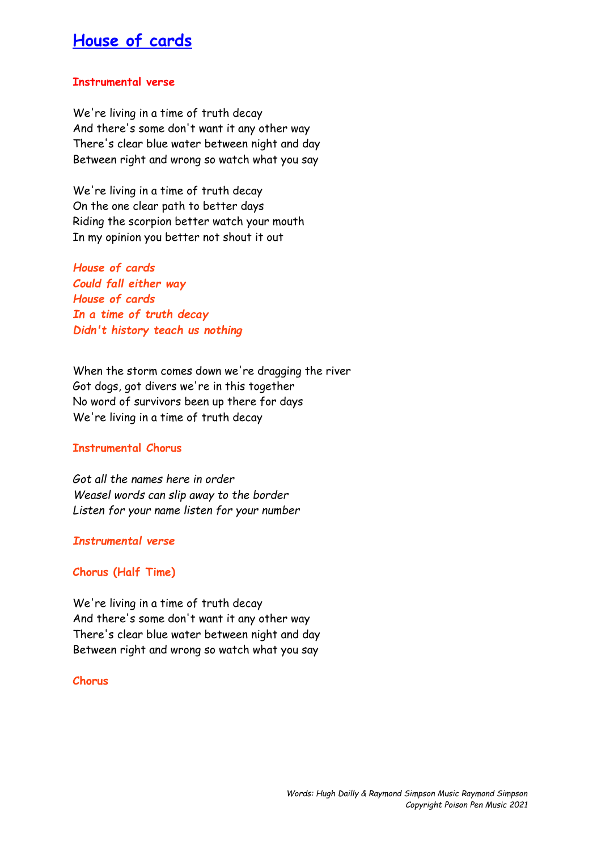## **House of cards**

### **Instrumental verse**

We're living in a time of truth decay And there's some don't want it any other way There's clear blue water between night and day Between right and wrong so watch what you say

We're living in a time of truth decay On the one clear path to better days Riding the scorpion better watch your mouth In my opinion you better not shout it out

*House of cards Could fall either way House of cards In a time of truth decay Didn't history teach us nothing*

When the storm comes down we're dragging the river Got dogs, got divers we're in this together No word of survivors been up there for days We're living in a time of truth decay

#### **Instrumental Chorus**

*Got all the names here in order Weasel words can slip away to the border Listen for your name listen for your number*

#### *Instrumental verse*

#### **Chorus (Half Time)**

We're living in a time of truth decay And there's some don't want it any other way There's clear blue water between night and day Between right and wrong so watch what you say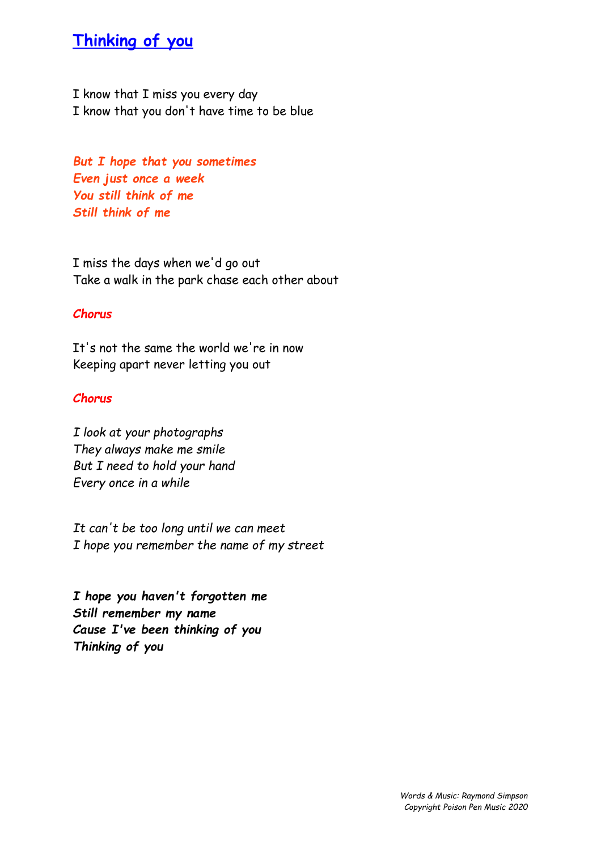# **Thinking of you**

I know that I miss you every day I know that you don't have time to be blue

*But I hope that you sometimes Even just once a week You still think of me Still think of me*

I miss the days when we'd go out Take a walk in the park chase each other about

### *Chorus*

It's not the same the world we're in now Keeping apart never letting you out

### *Chorus*

*I look at your photographs They always make me smile But I need to hold your hand Every once in a while*

*It can't be too long until we can meet I hope you remember the name of my street*

*I hope you haven't forgotten me Still remember my name Cause I've been thinking of you Thinking of you*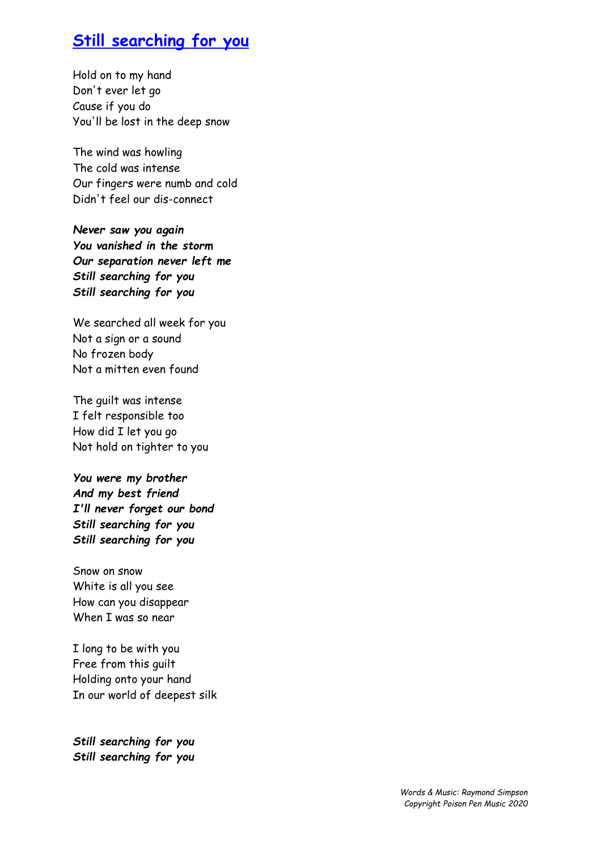# **Still searching for you**

Hold on to my hand Don't ever let go Cause if you do You'll be lost in the deep snow

The wind was howling The cold was intense Our fingers were numb and cold Didn't feel our dis-connect

*Never saw you again You vanished in the storm Our separation never left me Still searching for you Still searching for you*

We searched all week for you Not a sign or a sound No frozen body Not a mitten even found

The guilt was intense I felt responsible too How did I let you go Not hold on tighter to you

*You were my brother And my best friend I'll never forget our bond Still searching for you Still searching for you*

Snow on snow White is all you see How can you disappear When I was so near

I long to be with you Free from this guilt Holding onto your hand In our world of deepest silk

*Still searching for you Still searching for you*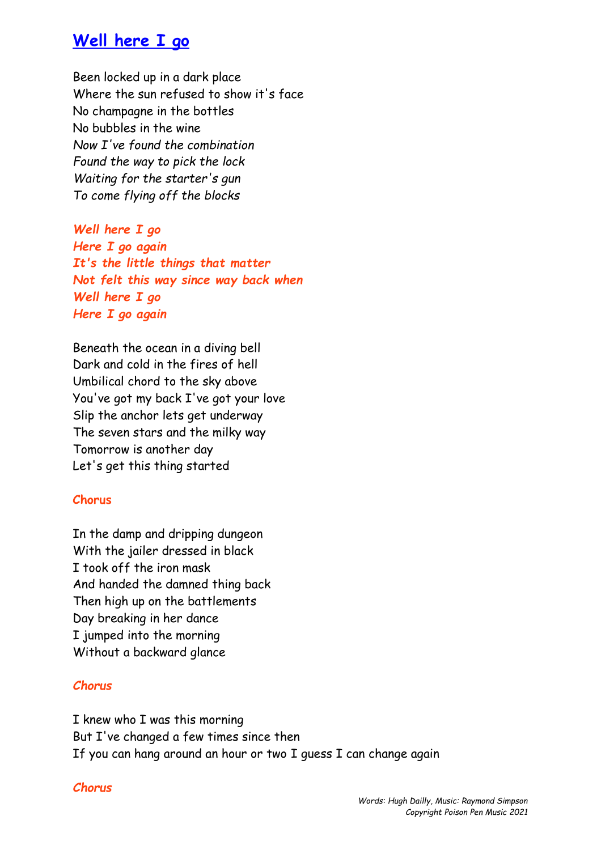## **Well here I go**

Been locked up in a dark place Where the sun refused to show it's face No champagne in the bottles No bubbles in the wine *Now I've found the combination Found the way to pick the lock Waiting for the starter's gun To come flying off the blocks*

*Well here I go Here I go again It's the little things that matter Not felt this way since way back when Well here I go Here I go again*

Beneath the ocean in a diving bell Dark and cold in the fires of hell Umbilical chord to the sky above You've got my back I've got your love Slip the anchor lets get underway The seven stars and the milky way Tomorrow is another day Let's get this thing started

## **Chorus**

In the damp and dripping dungeon With the jailer dressed in black I took off the iron mask And handed the damned thing back Then high up on the battlements Day breaking in her dance I jumped into the morning Without a backward glance

## *Chorus*

I knew who I was this morning But I've changed a few times since then If you can hang around an hour or two I guess I can change again